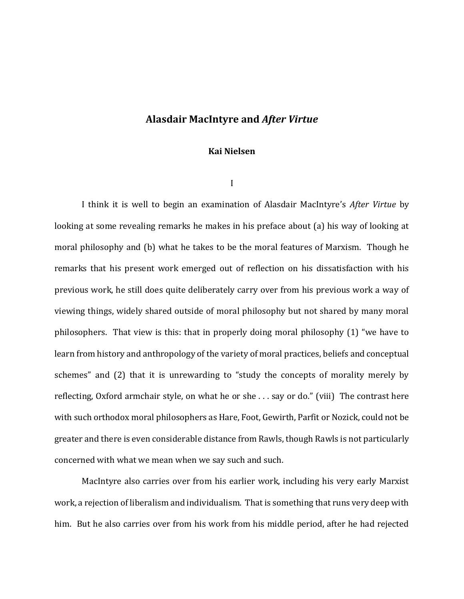# **Alasdair MacIntyre and** *After Virtue*

## **Kai Nielsen**

I

I think it is well to begin an examination of Alasdair MacIntyre's *After Virtue* by looking at some revealing remarks he makes in his preface about (a) his way of looking at moral philosophy and (b) what he takes to be the moral features of Marxism. Though he remarks that his present work emerged out of reflection on his dissatisfaction with his previous work, he still does quite deliberately carry over from his previous work a way of viewing things, widely shared outside of moral philosophy but not shared by many moral philosophers. That view is this: that in properly doing moral philosophy (1) "we have to learn from history and anthropology of the variety of moral practices, beliefs and conceptual schemes" and (2) that it is unrewarding to "study the concepts of morality merely by reflecting, Oxford armchair style, on what he or she . . . say or do." (viii) The contrast here with such orthodox moral philosophers as Hare, Foot, Gewirth, Parfit or Nozick, could not be greater and there is even considerable distance from Rawls, though Rawls is not particularly concerned with what we mean when we say such and such.

MacIntyre also carries over from his earlier work, including his very early Marxist work, a rejection of liberalism and individualism. That is something that runs very deep with him. But he also carries over from his work from his middle period, after he had rejected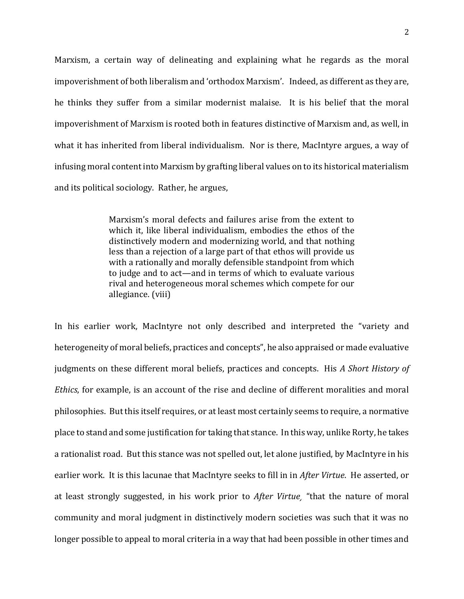Marxism, a certain way of delineating and explaining what he regards as the moral impoverishment of both liberalism and 'orthodox Marxism'. Indeed, as different as they are, he thinks they suffer from a similar modernist malaise. It is his belief that the moral impoverishment of Marxism is rooted both in features distinctive of Marxism and, as well, in what it has inherited from liberal individualism. Nor is there, MacIntyre argues, a way of infusing moral content into Marxism by grafting liberal values on to its historical materialism and its political sociology. Rather, he argues,

> Marxism's moral defects and failures arise from the extent to which it, like liberal individualism, embodies the ethos of the distinctively modern and modernizing world, and that nothing less than a rejection of a large part of that ethos will provide us with a rationally and morally defensible standpoint from which to judge and to act—and in terms of which to evaluate various rival and heterogeneous moral schemes which compete for our allegiance. (viii)

In his earlier work, MacIntyre not only described and interpreted the "variety and heterogeneity of moral beliefs, practices and concepts", he also appraised or made evaluative judgments on these different moral beliefs, practices and concepts. His *A Short History of Ethics*, for example, is an account of the rise and decline of different moralities and moral philosophies. But this itself requires, or at least most certainly seems to require, a normative place to stand and some justification for taking that stance. In this way, unlike Rorty, he takes a rationalist road. But this stance was not spelled out, let alone justified, by MacIntyre in his earlier work. It is this lacunae that MacIntyre seeks to fill in in *After Virtue*. He asserted, or at least strongly suggested, in his work prior to *After Virtue¸* "that the nature of moral community and moral judgment in distinctively modern societies was such that it was no longer possible to appeal to moral criteria in a way that had been possible in other times and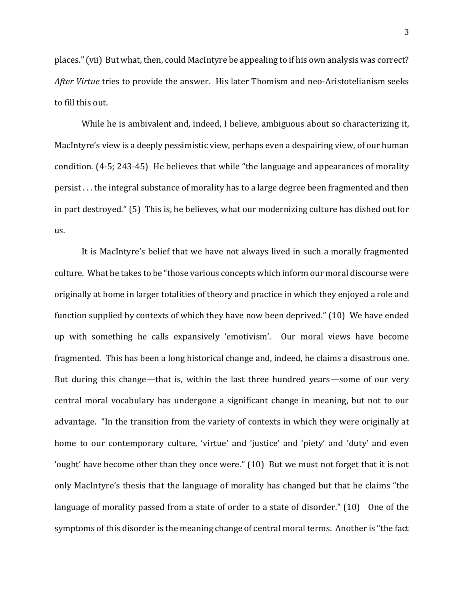places." (vii) But what, then, could MacIntyre be appealing to if his own analysis was correct? *After Virtue* tries to provide the answer. His later Thomism and neo-Aristotelianism seeks to fill this out.

While he is ambivalent and, indeed, I believe, ambiguous about so characterizing it, MacIntyre's view is a deeply pessimistic view, perhaps even a despairing view, of our human condition. (4-5; 243-45) He believes that while "the language and appearances of morality persist . . . the integral substance of morality has to a large degree been fragmented and then in part destroyed." (5) This is, he believes, what our modernizing culture has dished out for us.

It is MacIntyre's belief that we have not always lived in such a morally fragmented culture. What he takes to be "those various concepts which inform our moral discourse were originally at home in larger totalities of theory and practice in which they enjoyed a role and function supplied by contexts of which they have now been deprived." (10) We have ended up with something he calls expansively 'emotivism'. Our moral views have become fragmented. This has been a long historical change and, indeed, he claims a disastrous one. But during this change—that is, within the last three hundred years—some of our very central moral vocabulary has undergone a significant change in meaning, but not to our advantage. "In the transition from the variety of contexts in which they were originally at home to our contemporary culture, 'virtue' and 'justice' and 'piety' and 'duty' and even 'ought' have become other than they once were." (10) But we must not forget that it is not only MacIntyre's thesis that the language of morality has changed but that he claims "the language of morality passed from a state of order to a state of disorder." (10) One of the symptoms of this disorder is the meaning change of central moral terms. Another is "the fact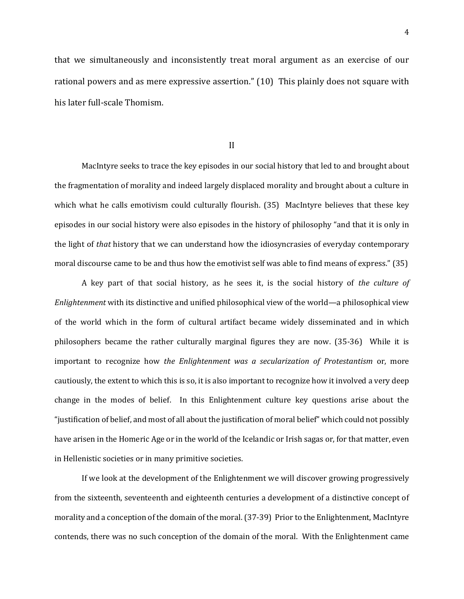that we simultaneously and inconsistently treat moral argument as an exercise of our rational powers and as mere expressive assertion." (10) This plainly does not square with his later full-scale Thomism.

II

MacIntyre seeks to trace the key episodes in our social history that led to and brought about the fragmentation of morality and indeed largely displaced morality and brought about a culture in which what he calls emotivism could culturally flourish. (35) MacIntyre believes that these key episodes in our social history were also episodes in the history of philosophy "and that it is only in the light of *that* history that we can understand how the idiosyncrasies of everyday contemporary moral discourse came to be and thus how the emotivist self was able to find means of express." (35)

A key part of that social history, as he sees it, is the social history of *the culture of Enlightenment* with its distinctive and unified philosophical view of the world—a philosophical view of the world which in the form of cultural artifact became widely disseminated and in which philosophers became the rather culturally marginal figures they are now. (35-36) While it is important to recognize how *the Enlightenment was a secularization of Protestantism* or, more cautiously, the extent to which this is so, it is also important to recognize how it involved a very deep change in the modes of belief. In this Enlightenment culture key questions arise about the "justification of belief, and most of all about the justification of moral belief" which could not possibly have arisen in the Homeric Age or in the world of the Icelandic or Irish sagas or, for that matter, even in Hellenistic societies or in many primitive societies.

If we look at the development of the Enlightenment we will discover growing progressively from the sixteenth, seventeenth and eighteenth centuries a development of a distinctive concept of morality and a conception of the domain of the moral.(37-39) Prior to the Enlightenment, MacIntyre contends, there was no such conception of the domain of the moral. With the Enlightenment came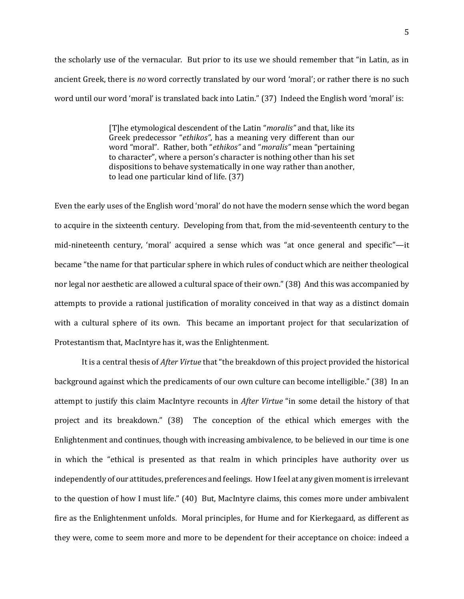the scholarly use of the vernacular. But prior to its use we should remember that "in Latin, as in ancient Greek, there is *no* word correctly translated by our word 'moral'; or rather there is no such word until our word 'moral' is translated back into Latin." (37) Indeed the English word 'moral' is:

> [T]he etymological descendent of the Latin "*moralis"* and that, like its Greek predecessor "*ethikos"*, has a meaning very different than our word "moral". Rather, both "*ethikos"* and "*moralis"* mean "pertaining to character", where a person's character is nothing other than his set dispositions to behave systematically in one way rather than another, to lead one particular kind of life. (37)

Even the early uses of the English word 'moral' do not have the modern sense which the word began to acquire in the sixteenth century. Developing from that, from the mid-seventeenth century to the mid-nineteenth century, 'moral' acquired a sense which was "at once general and specific"—it became "the name for that particular sphere in which rules of conduct which are neither theological nor legal nor aesthetic are allowed a cultural space of their own." (38) And this was accompanied by attempts to provide a rational justification of morality conceived in that way as a distinct domain with a cultural sphere of its own. This became an important project for that secularization of Protestantism that, MacIntyre has it, was the Enlightenment.

It is a central thesis of *After Virtue* that "the breakdown of this project provided the historical background against which the predicaments of our own culture can become intelligible." (38) In an attempt to justify this claim MacIntyre recounts in *After Virtue* "in some detail the history of that project and its breakdown." (38) The conception of the ethical which emerges with the Enlightenment and continues, though with increasing ambivalence, to be believed in our time is one in which the "ethical is presented as that realm in which principles have authority over us independently of our attitudes, preferences and feelings. How I feel at any given moment is irrelevant to the question of how I must life." (40) But, MacIntyre claims, this comes more under ambivalent fire as the Enlightenment unfolds. Moral principles, for Hume and for Kierkegaard, as different as they were, come to seem more and more to be dependent for their acceptance on choice: indeed a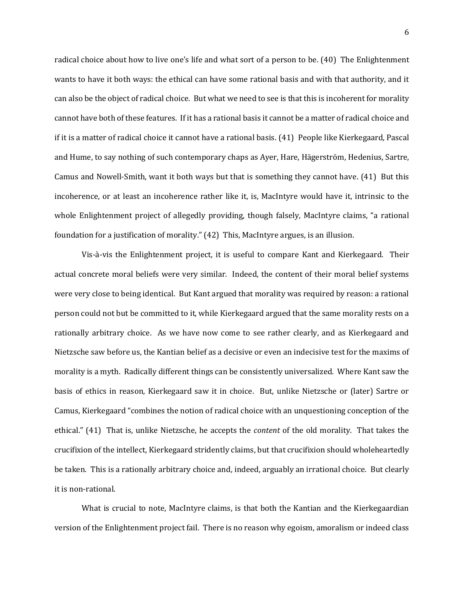radical choice about how to live one's life and what sort of a person to be. (40) The Enlightenment wants to have it both ways: the ethical can have some rational basis and with that authority, and it can also be the object of radical choice. But what we need to see is that this is incoherent for morality cannot have both of these features. If it has a rational basis it cannot be a matter of radical choice and if it is a matter of radical choice it cannot have a rational basis. (41) People like Kierkegaard, Pascal and Hume, to say nothing of such contemporary chaps as Ayer, Hare, Hägerström, Hedenius, Sartre, Camus and Nowell-Smith, want it both ways but that is something they cannot have. (41) But this incoherence, or at least an incoherence rather like it, is, MacIntyre would have it, intrinsic to the whole Enlightenment project of allegedly providing, though falsely, MacIntyre claims, "a rational foundation for a justification of morality." (42) This, MacIntyre argues, is an illusion.

Vis-à-vis the Enlightenment project, it is useful to compare Kant and Kierkegaard. Their actual concrete moral beliefs were very similar. Indeed, the content of their moral belief systems were very close to being identical. But Kant argued that morality was required by reason: a rational person could not but be committed to it, while Kierkegaard argued that the same morality rests on a rationally arbitrary choice. As we have now come to see rather clearly, and as Kierkegaard and Nietzsche saw before us, the Kantian belief as a decisive or even an indecisive test for the maxims of morality is a myth. Radically different things can be consistently universalized. Where Kant saw the basis of ethics in reason, Kierkegaard saw it in choice. But, unlike Nietzsche or (later) Sartre or Camus, Kierkegaard "combines the notion of radical choice with an unquestioning conception of the ethical." (41) That is, unlike Nietzsche, he accepts the *content* of the old morality. That takes the crucifixion of the intellect, Kierkegaard stridently claims, but that crucifixion should wholeheartedly be taken. This is a rationally arbitrary choice and, indeed, arguably an irrational choice. But clearly it is non-rational.

What is crucial to note, MacIntyre claims, is that both the Kantian and the Kierkegaardian version of the Enlightenment project fail. There is no reason why egoism, amoralism or indeed class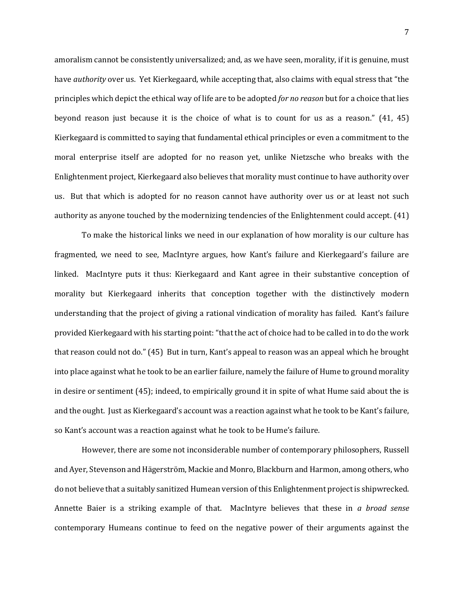amoralism cannot be consistently universalized; and, as we have seen, morality, if it is genuine, must have *authority* over us. Yet Kierkegaard, while accepting that, also claims with equal stress that "the principles which depict the ethical way of life are to be adopted *for no reason* but for a choice that lies beyond reason just because it is the choice of what is to count for us as a reason." (41, 45) Kierkegaard is committed to saying that fundamental ethical principles or even a commitment to the moral enterprise itself are adopted for no reason yet, unlike Nietzsche who breaks with the Enlightenment project, Kierkegaard also believes that morality must continue to have authority over us. But that which is adopted for no reason cannot have authority over us or at least not such authority as anyone touched by the modernizing tendencies of the Enlightenment could accept. (41)

To make the historical links we need in our explanation of how morality is our culture has fragmented, we need to see, MacIntyre argues, how Kant's failure and Kierkegaard's failure are linked. MacIntyre puts it thus: Kierkegaard and Kant agree in their substantive conception of morality but Kierkegaard inherits that conception together with the distinctively modern understanding that the project of giving a rational vindication of morality has failed. Kant's failure provided Kierkegaard with his starting point: "that the act of choice had to be called in to do the work that reason could not do." (45) But in turn, Kant's appeal to reason was an appeal which he brought into place against what he took to be an earlier failure, namely the failure of Hume to ground morality in desire or sentiment (45); indeed, to empirically ground it in spite of what Hume said about the is and the ought. Just as Kierkegaard's account was a reaction against what he took to be Kant's failure, so Kant's account was a reaction against what he took to be Hume's failure.

However, there are some not inconsiderable number of contemporary philosophers, Russell and Ayer, Stevenson and Hägerström, Mackie and Monro, Blackburn and Harmon, among others, who do not believe that a suitably sanitized Humean version of this Enlightenment project is shipwrecked. Annette Baier is a striking example of that. MacIntyre believes that these in *a broad sense* contemporary Humeans continue to feed on the negative power of their arguments against the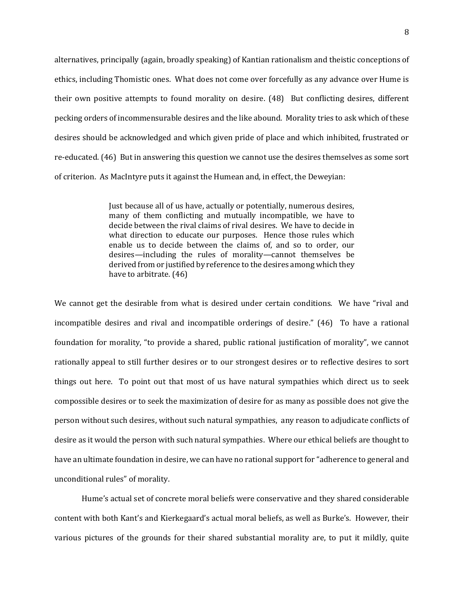alternatives, principally (again, broadly speaking) of Kantian rationalism and theistic conceptions of ethics, including Thomistic ones. What does not come over forcefully as any advance over Hume is their own positive attempts to found morality on desire. (48) But conflicting desires, different pecking orders of incommensurable desires and the like abound. Morality tries to ask which of these desires should be acknowledged and which given pride of place and which inhibited, frustrated or re-educated. (46) But in answering this question we cannot use the desires themselves as some sort of criterion. As MacIntyre puts it against the Humean and, in effect, the Deweyian:

> Just because all of us have, actually or potentially, numerous desires, many of them conflicting and mutually incompatible, we have to decide between the rival claims of rival desires. We have to decide in what direction to educate our purposes. Hence those rules which enable us to decide between the claims of, and so to order, our desires—including the rules of morality—cannot themselves be derived from or justified by reference to the desires among which they have to arbitrate. (46)

We cannot get the desirable from what is desired under certain conditions. We have "rival and incompatible desires and rival and incompatible orderings of desire." (46) To have a rational foundation for morality, "to provide a shared, public rational justification of morality", we cannot rationally appeal to still further desires or to our strongest desires or to reflective desires to sort things out here. To point out that most of us have natural sympathies which direct us to seek compossible desires or to seek the maximization of desire for as many as possible does not give the person without such desires, without such natural sympathies, any reason to adjudicate conflicts of desire as it would the person with such natural sympathies. Where our ethical beliefs are thought to have an ultimate foundation in desire, we can have no rational support for "adherence to general and unconditional rules" of morality.

Hume's actual set of concrete moral beliefs were conservative and they shared considerable content with both Kant's and Kierkegaard's actual moral beliefs, as well as Burke's. However, their various pictures of the grounds for their shared substantial morality are, to put it mildly, quite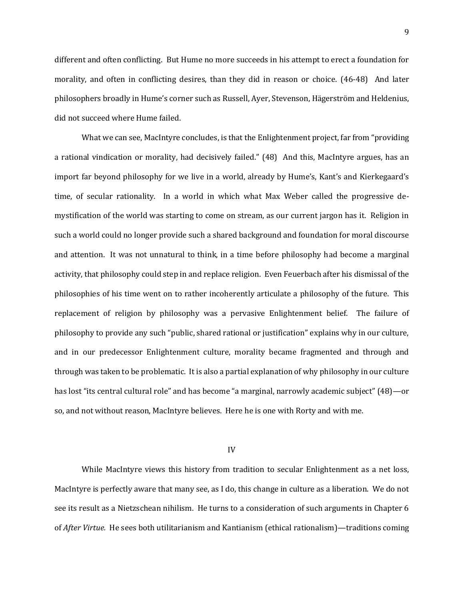different and often conflicting. But Hume no more succeeds in his attempt to erect a foundation for morality, and often in conflicting desires, than they did in reason or choice. (46-48) And later philosophers broadly in Hume's corner such as Russell, Ayer, Stevenson, Hägerström and Heldenius, did not succeed where Hume failed.

What we can see, MacIntyre concludes, is that the Enlightenment project, far from "providing a rational vindication or morality, had decisively failed." (48) And this, MacIntyre argues, has an import far beyond philosophy for we live in a world, already by Hume's, Kant's and Kierkegaard's time, of secular rationality. In a world in which what Max Weber called the progressive demystification of the world was starting to come on stream, as our current jargon has it. Religion in such a world could no longer provide such a shared background and foundation for moral discourse and attention. It was not unnatural to think, in a time before philosophy had become a marginal activity, that philosophy could step in and replace religion. Even Feuerbach after his dismissal of the philosophies of his time went on to rather incoherently articulate a philosophy of the future. This replacement of religion by philosophy was a pervasive Enlightenment belief. The failure of philosophy to provide any such "public, shared rational or justification" explains why in our culture, and in our predecessor Enlightenment culture, morality became fragmented and through and through was taken to be problematic. It is also a partial explanation of why philosophy in our culture has lost "its central cultural role" and has become "a marginal, narrowly academic subject" (48)—or so, and not without reason, MacIntyre believes. Here he is one with Rorty and with me.

#### IV

While MacIntyre views this history from tradition to secular Enlightenment as a net loss, MacIntyre is perfectly aware that many see, as I do, this change in culture as a liberation. We do not see its result as a Nietzschean nihilism. He turns to a consideration of such arguments in Chapter 6 of *After Virtue.* He sees both utilitarianism and Kantianism (ethical rationalism)—traditions coming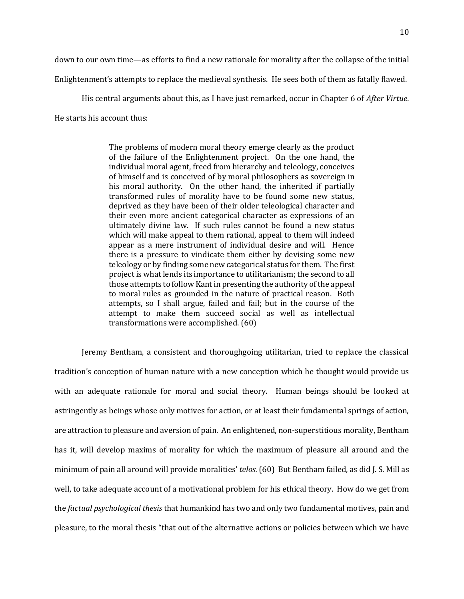down to our own time—as efforts to find a new rationale for morality after the collapse of the initial

Enlightenment's attempts to replace the medieval synthesis. He sees both of them as fatally flawed.

His central arguments about this, as I have just remarked, occur in Chapter 6 of *After Virtue*. He starts his account thus:

> The problems of modern moral theory emerge clearly as the product of the failure of the Enlightenment project. On the one hand, the individual moral agent, freed from hierarchy and teleology, conceives of himself and is conceived of by moral philosophers as sovereign in his moral authority. On the other hand, the inherited if partially transformed rules of morality have to be found some new status, deprived as they have been of their older teleological character and their even more ancient categorical character as expressions of an ultimately divine law. If such rules cannot be found a new status which will make appeal to them rational, appeal to them will indeed appear as a mere instrument of individual desire and will. Hence there is a pressure to vindicate them either by devising some new teleology or by finding some new categorical status for them. The first project is what lends its importance to utilitarianism; the second to all those attempts to follow Kant in presenting the authority of the appeal to moral rules as grounded in the nature of practical reason. Both attempts, so I shall argue, failed and fail; but in the course of the attempt to make them succeed social as well as intellectual transformations were accomplished. (60)

Jeremy Bentham, a consistent and thoroughgoing utilitarian, tried to replace the classical tradition's conception of human nature with a new conception which he thought would provide us with an adequate rationale for moral and social theory. Human beings should be looked at astringently as beings whose only motives for action, or at least their fundamental springs of action, are attraction to pleasure and aversion of pain. An enlightened, non-superstitious morality, Bentham has it, will develop maxims of morality for which the maximum of pleasure all around and the minimum of pain all around will provide moralities' *telos.* (60) But Bentham failed, as did J. S. Mill as well, to take adequate account of a motivational problem for his ethical theory. How do we get from the *factual psychological thesis* that humankind has two and only two fundamental motives, pain and pleasure, to the moral thesis "that out of the alternative actions or policies between which we have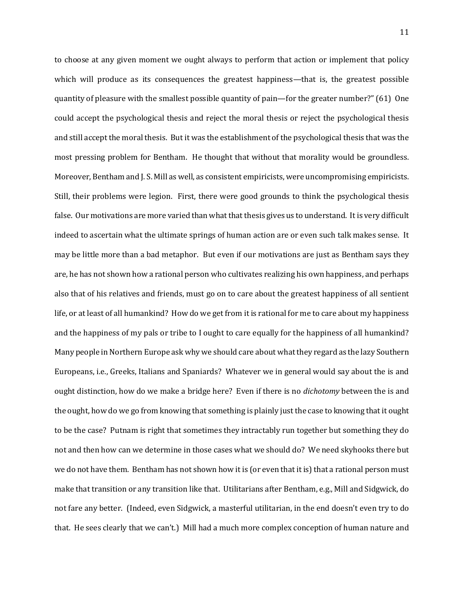to choose at any given moment we ought always to perform that action or implement that policy which will produce as its consequences the greatest happiness—that is, the greatest possible quantity of pleasure with the smallest possible quantity of pain—for the greater number?" (61) One could accept the psychological thesis and reject the moral thesis or reject the psychological thesis and still accept the moral thesis. But it was the establishment of the psychological thesis that was the most pressing problem for Bentham. He thought that without that morality would be groundless. Moreover, Bentham and J. S. Mill as well, as consistent empiricists, were uncompromising empiricists. Still, their problems were legion. First, there were good grounds to think the psychological thesis false. Our motivations are more varied than what that thesis gives us to understand. It is very difficult indeed to ascertain what the ultimate springs of human action are or even such talk makes sense. It may be little more than a bad metaphor. But even if our motivations are just as Bentham says they are, he has not shown how a rational person who cultivates realizing his own happiness, and perhaps also that of his relatives and friends, must go on to care about the greatest happiness of all sentient life, or at least of all humankind? How do we get from it is rational for me to care about my happiness and the happiness of my pals or tribe to I ought to care equally for the happiness of all humankind? Many people in Northern Europe ask why we should care about what they regard as the lazy Southern Europeans, i.e., Greeks, Italians and Spaniards? Whatever we in general would say about the is and ought distinction, how do we make a bridge here? Even if there is no *dichotomy* between the is and the ought, how do we go from knowing that something is plainly just the case to knowing that it ought to be the case? Putnam is right that sometimes they intractably run together but something they do not and then how can we determine in those cases what we should do? We need skyhooks there but we do not have them. Bentham has not shown how it is (or even that it is) that a rational person must make that transition or any transition like that. Utilitarians after Bentham, e.g., Mill and Sidgwick, do not fare any better. (Indeed, even Sidgwick, a masterful utilitarian, in the end doesn't even try to do that. He sees clearly that we can't.) Mill had a much more complex conception of human nature and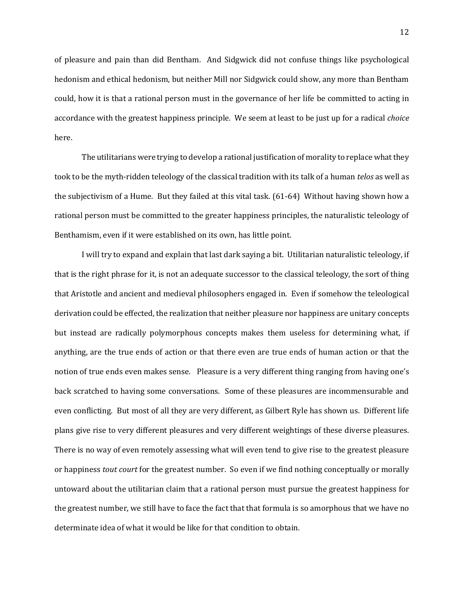of pleasure and pain than did Bentham. And Sidgwick did not confuse things like psychological hedonism and ethical hedonism, but neither Mill nor Sidgwick could show, any more than Bentham could, how it is that a rational person must in the governance of her life be committed to acting in accordance with the greatest happiness principle. We seem at least to be just up for a radical *choice*  here.

The utilitarians were trying to develop a rational justification of morality to replace what they took to be the myth-ridden teleology of the classical tradition with its talk of a human *telos* as well as the subjectivism of a Hume. But they failed at this vital task. (61-64) Without having shown how a rational person must be committed to the greater happiness principles, the naturalistic teleology of Benthamism, even if it were established on its own, has little point.

I will try to expand and explain that last dark saying a bit. Utilitarian naturalistic teleology, if that is the right phrase for it, is not an adequate successor to the classical teleology, the sort of thing that Aristotle and ancient and medieval philosophers engaged in. Even if somehow the teleological derivation could be effected, the realization that neither pleasure nor happiness are unitary concepts but instead are radically polymorphous concepts makes them useless for determining what, if anything, are the true ends of action or that there even are true ends of human action or that the notion of true ends even makes sense. Pleasure is a very different thing ranging from having one's back scratched to having some conversations. Some of these pleasures are incommensurable and even conflicting. But most of all they are very different, as Gilbert Ryle has shown us. Different life plans give rise to very different pleasures and very different weightings of these diverse pleasures. There is no way of even remotely assessing what will even tend to give rise to the greatest pleasure or happiness *tout court* for the greatest number. So even if we find nothing conceptually or morally untoward about the utilitarian claim that a rational person must pursue the greatest happiness for the greatest number, we still have to face the fact that that formula is so amorphous that we have no determinate idea of what it would be like for that condition to obtain.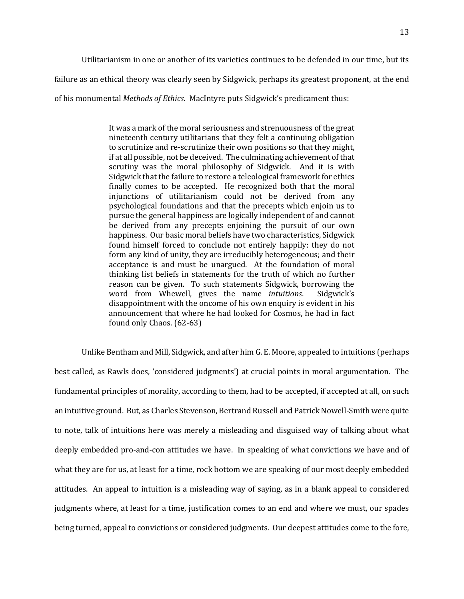Utilitarianism in one or another of its varieties continues to be defended in our time, but its

failure as an ethical theory was clearly seen by Sidgwick, perhaps its greatest proponent, at the end

of his monumental *Methods of Ethics.* MacIntyre puts Sidgwick's predicament thus:

It was a mark of the moral seriousness and strenuousness of the great nineteenth century utilitarians that they felt a continuing obligation to scrutinize and re-scrutinize their own positions so that they might, if at all possible, not be deceived. The culminating achievement of that scrutiny was the moral philosophy of Sidgwick. And it is with Sidgwick that the failure to restore a teleological framework for ethics finally comes to be accepted. He recognized both that the moral injunctions of utilitarianism could not be derived from any psychological foundations and that the precepts which enjoin us to pursue the general happiness are logically independent of and cannot be derived from any precepts enjoining the pursuit of our own happiness. Our basic moral beliefs have two characteristics, Sidgwick found himself forced to conclude not entirely happily: they do not form any kind of unity, they are irreducibly heterogeneous; and their acceptance is and must be unargued. At the foundation of moral thinking list beliefs in statements for the truth of which no further reason can be given. To such statements Sidgwick, borrowing the word from Whewell, gives the name *intuitions*. Sidgwick's disappointment with the oncome of his own enquiry is evident in his announcement that where he had looked for Cosmos, he had in fact found only Chaos. (62-63)

Unlike Bentham and Mill, Sidgwick, and after him G. E. Moore, appealed to intuitions (perhaps best called, as Rawls does, 'considered judgments') at crucial points in moral argumentation. The fundamental principles of morality, according to them, had to be accepted, if accepted at all, on such an intuitive ground. But, as Charles Stevenson, Bertrand Russell and Patrick Nowell-Smith were quite to note, talk of intuitions here was merely a misleading and disguised way of talking about what deeply embedded pro-and-con attitudes we have. In speaking of what convictions we have and of what they are for us, at least for a time, rock bottom we are speaking of our most deeply embedded attitudes. An appeal to intuition is a misleading way of saying, as in a blank appeal to considered judgments where, at least for a time, justification comes to an end and where we must, our spades being turned, appeal to convictions or considered judgments. Our deepest attitudes come to the fore,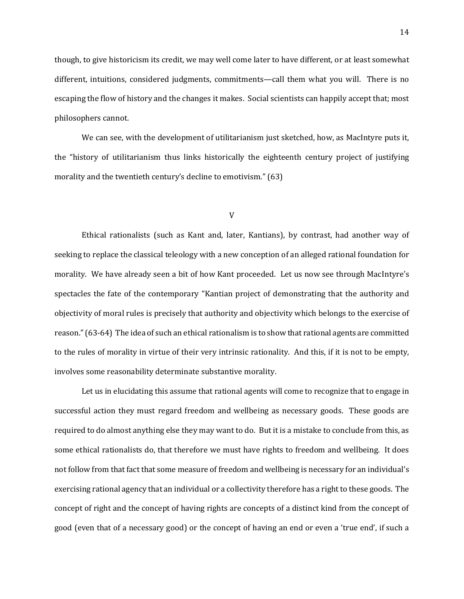though, to give historicism its credit, we may well come later to have different, or at least somewhat different, intuitions, considered judgments, commitments—call them what you will. There is no escaping the flow of history and the changes it makes. Social scientists can happily accept that; most philosophers cannot.

We can see, with the development of utilitarianism just sketched, how, as MacIntyre puts it, the "history of utilitarianism thus links historically the eighteenth century project of justifying morality and the twentieth century's decline to emotivism." (63)

#### V

Ethical rationalists (such as Kant and, later, Kantians), by contrast, had another way of seeking to replace the classical teleology with a new conception of an alleged rational foundation for morality. We have already seen a bit of how Kant proceeded. Let us now see through MacIntyre's spectacles the fate of the contemporary "Kantian project of demonstrating that the authority and objectivity of moral rules is precisely that authority and objectivity which belongs to the exercise of reason."(63-64) The idea of such an ethical rationalism is to show that rational agents are committed to the rules of morality in virtue of their very intrinsic rationality. And this, if it is not to be empty, involves some reasonability determinate substantive morality.

Let us in elucidating this assume that rational agents will come to recognize that to engage in successful action they must regard freedom and wellbeing as necessary goods. These goods are required to do almost anything else they may want to do. But it is a mistake to conclude from this, as some ethical rationalists do, that therefore we must have rights to freedom and wellbeing. It does not follow from that fact that some measure of freedom and wellbeing is necessary for an individual's exercising rational agency that an individual or a collectivity therefore has a right to these goods. The concept of right and the concept of having rights are concepts of a distinct kind from the concept of good (even that of a necessary good) or the concept of having an end or even a 'true end', if such a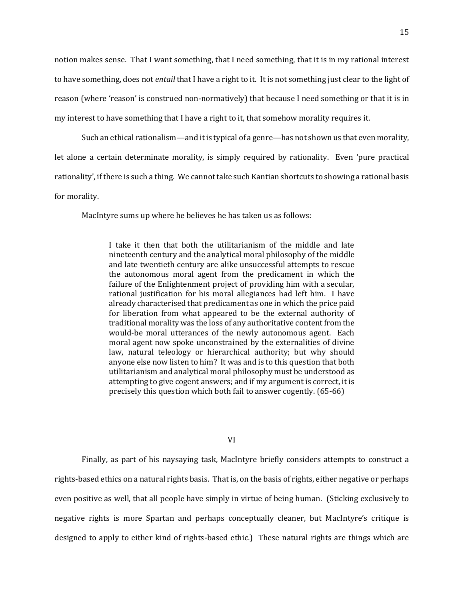notion makes sense. That I want something, that I need something, that it is in my rational interest to have something, does not *entail* that I have a right to it. It is not something just clear to the light of reason (where 'reason' is construed non-normatively) that because I need something or that it is in my interest to have something that I have a right to it, that somehow morality requires it.

Such an ethical rationalism—and it is typical of a genre—has not shown us that even morality, let alone a certain determinate morality, is simply required by rationality. Even 'pure practical rationality', if there is such a thing. We cannot take such Kantian shortcuts to showing a rational basis for morality.

MacIntyre sums up where he believes he has taken us as follows:

I take it then that both the utilitarianism of the middle and late nineteenth century and the analytical moral philosophy of the middle and late twentieth century are alike unsuccessful attempts to rescue the autonomous moral agent from the predicament in which the failure of the Enlightenment project of providing him with a secular, rational justification for his moral allegiances had left him. I have already characterised that predicament as one in which the price paid for liberation from what appeared to be the external authority of traditional morality was the loss of any authoritative content from the would-be moral utterances of the newly autonomous agent. Each moral agent now spoke unconstrained by the externalities of divine law, natural teleology or hierarchical authority; but why should anyone else now listen to him? It was and is to this question that both utilitarianism and analytical moral philosophy must be understood as attempting to give cogent answers; and if my argument is correct, it is precisely this question which both fail to answer cogently. (65-66)

### VI

Finally, as part of his naysaying task, MacIntyre briefly considers attempts to construct a rights-based ethics on a natural rights basis. That is, on the basis of rights, either negative or perhaps even positive as well, that all people have simply in virtue of being human. (Sticking exclusively to negative rights is more Spartan and perhaps conceptually cleaner, but MacIntyre's critique is designed to apply to either kind of rights-based ethic.) These natural rights are things which are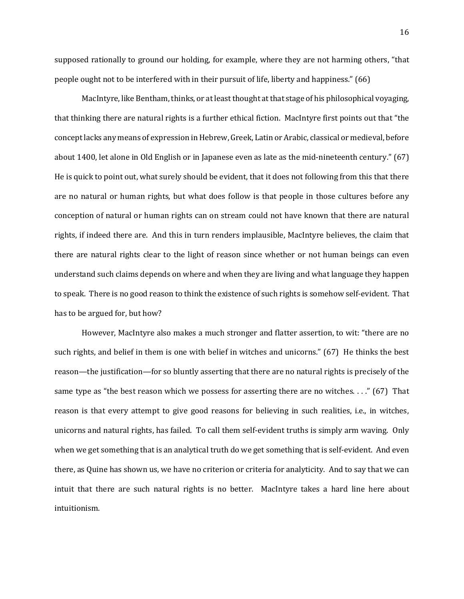supposed rationally to ground our holding, for example, where they are not harming others, "that people ought not to be interfered with in their pursuit of life, liberty and happiness." (66)

MacIntyre, like Bentham, thinks, or at least thought at that stage of his philosophical voyaging, that thinking there are natural rights is a further ethical fiction. MacIntyre first points out that "the concept lacks any means of expression in Hebrew, Greek, Latin or Arabic, classical or medieval, before about 1400, let alone in Old English or in Japanese even as late as the mid-nineteenth century." (67) He is quick to point out, what surely should be evident, that it does not following from this that there are no natural or human rights, but what does follow is that people in those cultures before any conception of natural or human rights can on stream could not have known that there are natural rights, if indeed there are. And this in turn renders implausible, MacIntyre believes, the claim that there are natural rights clear to the light of reason since whether or not human beings can even understand such claims depends on where and when they are living and what language they happen to speak. There is no good reason to think the existence of such rights is somehow self-evident. That has to be argued for, but how?

However, MacIntyre also makes a much stronger and flatter assertion, to wit: "there are no such rights, and belief in them is one with belief in witches and unicorns." (67) He thinks the best reason—the justification—for so bluntly asserting that there are no natural rights is precisely of the same type as "the best reason which we possess for asserting there are no witches...."  $(67)$  That reason is that every attempt to give good reasons for believing in such realities, i.e., in witches, unicorns and natural rights, has failed. To call them self-evident truths is simply arm waving. Only when we get something that is an analytical truth do we get something that is self-evident. And even there, as Quine has shown us, we have no criterion or criteria for analyticity. And to say that we can intuit that there are such natural rights is no better. MacIntyre takes a hard line here about intuitionism.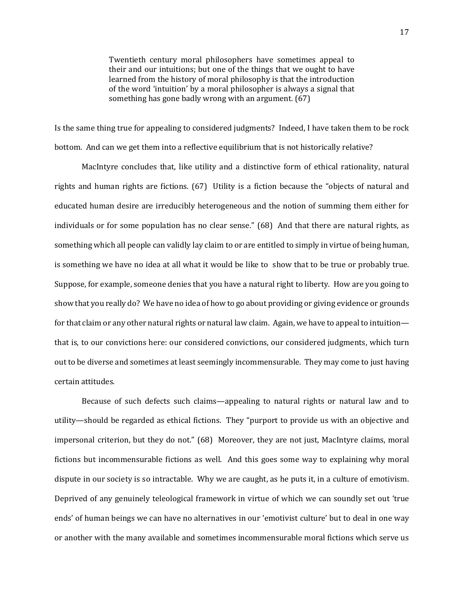Twentieth century moral philosophers have sometimes appeal to their and our intuitions; but one of the things that we ought to have learned from the history of moral philosophy is that the introduction of the word 'intuition' by a moral philosopher is always a signal that something has gone badly wrong with an argument. (67)

Is the same thing true for appealing to considered judgments? Indeed, I have taken them to be rock bottom. And can we get them into a reflective equilibrium that is not historically relative?

MacIntyre concludes that, like utility and a distinctive form of ethical rationality, natural rights and human rights are fictions. (67) Utility is a fiction because the "objects of natural and educated human desire are irreducibly heterogeneous and the notion of summing them either for individuals or for some population has no clear sense." (68) And that there are natural rights, as something which all people can validly lay claim to or are entitled to simply in virtue of being human, is something we have no idea at all what it would be like to show that to be true or probably true. Suppose, for example, someone denies that you have a natural right to liberty. How are you going to show that you really do? We have no idea of how to go about providing or giving evidence or grounds for that claim or any other natural rights or natural law claim. Again, we have to appeal to intuition that is, to our convictions here: our considered convictions, our considered judgments, which turn out to be diverse and sometimes at least seemingly incommensurable. They may come to just having certain attitudes.

Because of such defects such claims—appealing to natural rights or natural law and to utility—should be regarded as ethical fictions. They "purport to provide us with an objective and impersonal criterion, but they do not." (68) Moreover, they are not just, MacIntyre claims, moral fictions but incommensurable fictions as well. And this goes some way to explaining why moral dispute in our society is so intractable. Why we are caught, as he puts it, in a culture of emotivism. Deprived of any genuinely teleological framework in virtue of which we can soundly set out 'true ends' of human beings we can have no alternatives in our 'emotivist culture' but to deal in one way or another with the many available and sometimes incommensurable moral fictions which serve us